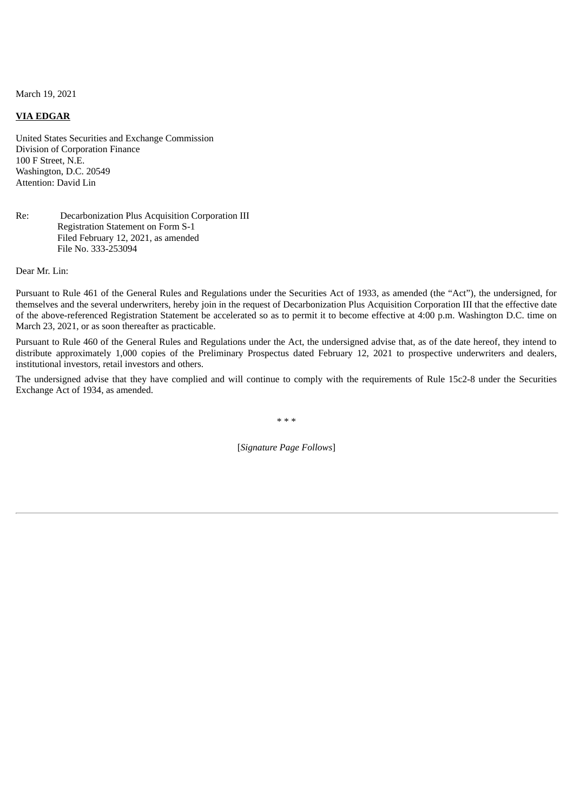March 19, 2021

## **VIA EDGAR**

United States Securities and Exchange Commission Division of Corporation Finance 100 F Street, N.E. Washington, D.C. 20549 Attention: David Lin

## Re: Decarbonization Plus Acquisition Corporation III Registration Statement on Form S-1 Filed February 12, 2021, as amended File No. 333-253094

Dear Mr. Lin:

Pursuant to Rule 461 of the General Rules and Regulations under the Securities Act of 1933, as amended (the "Act"), the undersigned, for themselves and the several underwriters, hereby join in the request of Decarbonization Plus Acquisition Corporation III that the effective date of the above-referenced Registration Statement be accelerated so as to permit it to become effective at 4:00 p.m. Washington D.C. time on March 23, 2021, or as soon thereafter as practicable.

Pursuant to Rule 460 of the General Rules and Regulations under the Act, the undersigned advise that, as of the date hereof, they intend to distribute approximately 1,000 copies of the Preliminary Prospectus dated February 12, 2021 to prospective underwriters and dealers, institutional investors, retail investors and others.

The undersigned advise that they have complied and will continue to comply with the requirements of Rule 15c2-8 under the Securities Exchange Act of 1934, as amended.

\* \* \*

[*Signature Page Follows*]